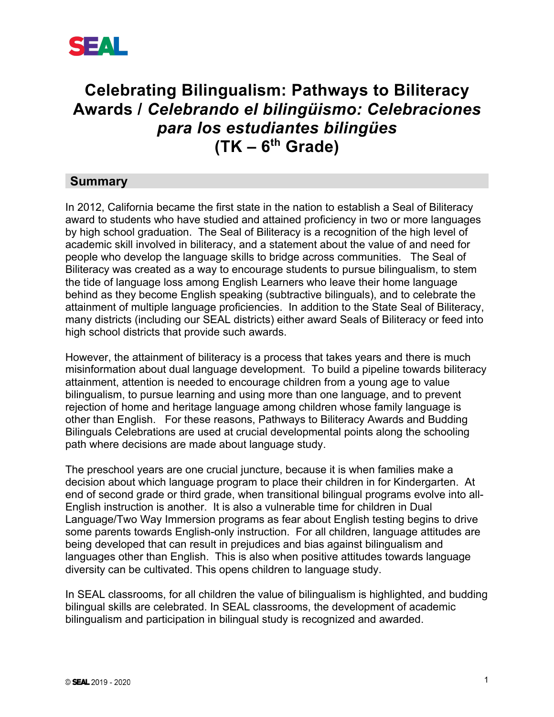

# **Celebrating Bilingualism: Pathways to Biliteracy Awards /** *Celebrando el bilingüismo: Celebraciones para los estudiantes bilingües* **(TK – 6th Grade)**

### **Summary**

In 2012, California became the first state in the nation to establish a Seal of Biliteracy award to students who have studied and attained proficiency in two or more languages by high school graduation. The Seal of Biliteracy is a recognition of the high level of academic skill involved in biliteracy, and a statement about the value of and need for people who develop the language skills to bridge across communities. The Seal of Biliteracy was created as a way to encourage students to pursue bilingualism, to stem the tide of language loss among English Learners who leave their home language behind as they become English speaking (subtractive bilinguals), and to celebrate the attainment of multiple language proficiencies. In addition to the State Seal of Biliteracy, many districts (including our SEAL districts) either award Seals of Biliteracy or feed into high school districts that provide such awards.

However, the attainment of biliteracy is a process that takes years and there is much misinformation about dual language development. To build a pipeline towards biliteracy attainment, attention is needed to encourage children from a young age to value bilingualism, to pursue learning and using more than one language, and to prevent rejection of home and heritage language among children whose family language is other than English. For these reasons, Pathways to Biliteracy Awards and Budding Bilinguals Celebrations are used at crucial developmental points along the schooling path where decisions are made about language study.

The preschool years are one crucial juncture, because it is when families make a decision about which language program to place their children in for Kindergarten. At end of second grade or third grade, when transitional bilingual programs evolve into all-English instruction is another. It is also a vulnerable time for children in Dual Language/Two Way Immersion programs as fear about English testing begins to drive some parents towards English-only instruction. For all children, language attitudes are being developed that can result in prejudices and bias against bilingualism and languages other than English. This is also when positive attitudes towards language diversity can be cultivated. This opens children to language study.

In SEAL classrooms, for all children the value of bilingualism is highlighted, and budding bilingual skills are celebrated. In SEAL classrooms, the development of academic bilingualism and participation in bilingual study is recognized and awarded.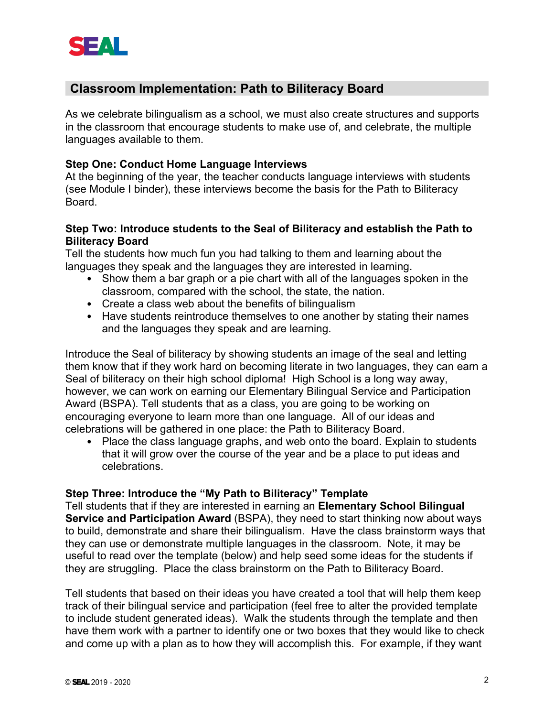

## **Classroom Implementation: Path to Biliteracy Board**

As we celebrate bilingualism as a school, we must also create structures and supports in the classroom that encourage students to make use of, and celebrate, the multiple languages available to them.

#### **Step One: Conduct Home Language Interviews**

At the beginning of the year, the teacher conducts language interviews with students (see Module I binder), these interviews become the basis for the Path to Biliteracy Board.

#### **Step Two: Introduce students to the Seal of Biliteracy and establish the Path to Biliteracy Board**

Tell the students how much fun you had talking to them and learning about the languages they speak and the languages they are interested in learning.

- Show them a bar graph or a pie chart with all of the languages spoken in the classroom, compared with the school, the state, the nation.
- Create a class web about the benefits of bilingualism
- Have students reintroduce themselves to one another by stating their names and the languages they speak and are learning.

Introduce the Seal of biliteracy by showing students an image of the seal and letting them know that if they work hard on becoming literate in two languages, they can earn a Seal of biliteracy on their high school diploma! High School is a long way away, however, we can work on earning our Elementary Bilingual Service and Participation Award (BSPA). Tell students that as a class, you are going to be working on encouraging everyone to learn more than one language. All of our ideas and celebrations will be gathered in one place: the Path to Biliteracy Board.

• Place the class language graphs, and web onto the board. Explain to students that it will grow over the course of the year and be a place to put ideas and celebrations.

#### **Step Three: Introduce the "My Path to Biliteracy" Template**

Tell students that if they are interested in earning an **Elementary School Bilingual Service and Participation Award** (BSPA), they need to start thinking now about ways to build, demonstrate and share their bilingualism. Have the class brainstorm ways that they can use or demonstrate multiple languages in the classroom. Note, it may be useful to read over the template (below) and help seed some ideas for the students if they are struggling. Place the class brainstorm on the Path to Biliteracy Board.

Tell students that based on their ideas you have created a tool that will help them keep track of their bilingual service and participation (feel free to alter the provided template to include student generated ideas). Walk the students through the template and then have them work with a partner to identify one or two boxes that they would like to check and come up with a plan as to how they will accomplish this. For example, if they want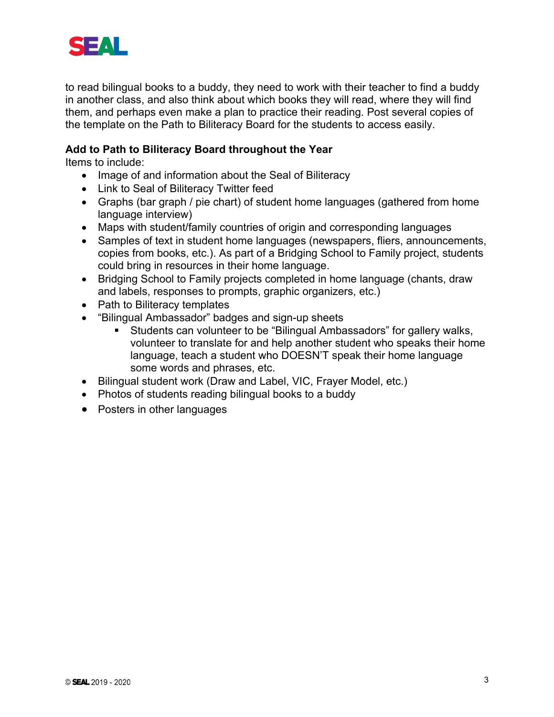

to read bilingual books to a buddy, they need to work with their teacher to find a buddy in another class, and also think about which books they will read, where they will find them, and perhaps even make a plan to practice their reading. Post several copies of the template on the Path to Biliteracy Board for the students to access easily.

#### **Add to Path to Biliteracy Board throughout the Year**

Items to include:

- Image of and information about the Seal of Biliteracy
- Link to Seal of Biliteracy Twitter feed
- Graphs (bar graph / pie chart) of student home languages (gathered from home language interview)
- Maps with student/family countries of origin and corresponding languages
- Samples of text in student home languages (newspapers, fliers, announcements, copies from books, etc.). As part of a Bridging School to Family project, students could bring in resources in their home language.
- Bridging School to Family projects completed in home language (chants, draw and labels, responses to prompts, graphic organizers, etc.)
- Path to Biliteracy templates
- "Bilingual Ambassador" badges and sign-up sheets
	- Students can volunteer to be "Bilingual Ambassadors" for gallery walks, volunteer to translate for and help another student who speaks their home language, teach a student who DOESN'T speak their home language some words and phrases, etc.
- Bilingual student work (Draw and Label, VIC, Frayer Model, etc.)
- Photos of students reading bilingual books to a buddy
- Posters in other languages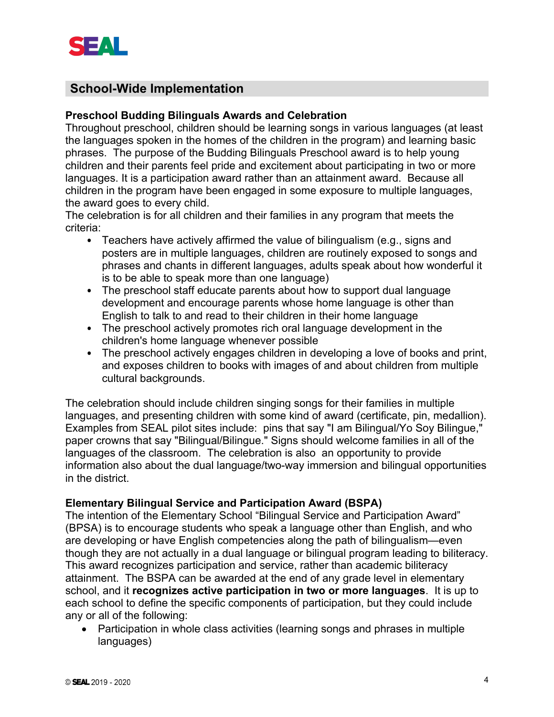

## **School-Wide Implementation**

#### **Preschool Budding Bilinguals Awards and Celebration**

Throughout preschool, children should be learning songs in various languages (at least the languages spoken in the homes of the children in the program) and learning basic phrases. The purpose of the Budding Bilinguals Preschool award is to help young children and their parents feel pride and excitement about participating in two or more languages. It is a participation award rather than an attainment award. Because all children in the program have been engaged in some exposure to multiple languages, the award goes to every child.

The celebration is for all children and their families in any program that meets the criteria:

- Teachers have actively affirmed the value of bilingualism (e.g., signs and posters are in multiple languages, children are routinely exposed to songs and phrases and chants in different languages, adults speak about how wonderful it is to be able to speak more than one language)
- The preschool staff educate parents about how to support dual language development and encourage parents whose home language is other than English to talk to and read to their children in their home language
- The preschool actively promotes rich oral language development in the children's home language whenever possible
- The preschool actively engages children in developing a love of books and print, and exposes children to books with images of and about children from multiple cultural backgrounds.

The celebration should include children singing songs for their families in multiple languages, and presenting children with some kind of award (certificate, pin, medallion). Examples from SEAL pilot sites include: pins that say "I am Bilingual/Yo Soy Bilingue," paper crowns that say "Bilingual/Bilingue." Signs should welcome families in all of the languages of the classroom. The celebration is also an opportunity to provide information also about the dual language/two-way immersion and bilingual opportunities in the district.

#### **Elementary Bilingual Service and Participation Award (BSPA)**

The intention of the Elementary School "Bilingual Service and Participation Award" (BPSA) is to encourage students who speak a language other than English, and who are developing or have English competencies along the path of bilingualism—even though they are not actually in a dual language or bilingual program leading to biliteracy. This award recognizes participation and service, rather than academic biliteracy attainment. The BSPA can be awarded at the end of any grade level in elementary school, and it **recognizes active participation in two or more languages**. It is up to each school to define the specific components of participation, but they could include any or all of the following:

• Participation in whole class activities (learning songs and phrases in multiple languages)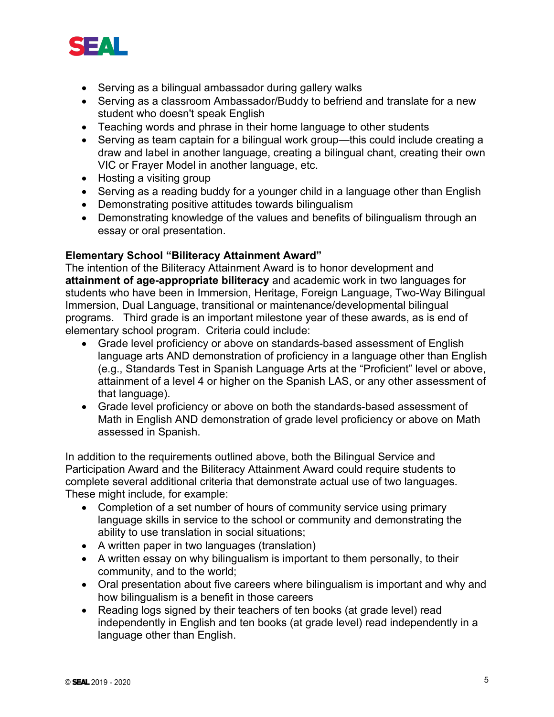

- Serving as a bilingual ambassador during gallery walks
- Serving as a classroom Ambassador/Buddy to befriend and translate for a new student who doesn't speak English
- Teaching words and phrase in their home language to other students
- Serving as team captain for a bilingual work group—this could include creating a draw and label in another language, creating a bilingual chant, creating their own VIC or Frayer Model in another language, etc.
- Hosting a visiting group
- Serving as a reading buddy for a younger child in a language other than English
- Demonstrating positive attitudes towards bilingualism
- Demonstrating knowledge of the values and benefits of bilingualism through an essay or oral presentation.

#### **Elementary School "Biliteracy Attainment Award"**

The intention of the Biliteracy Attainment Award is to honor development and **attainment of age-appropriate biliteracy** and academic work in two languages for students who have been in Immersion, Heritage, Foreign Language, Two-Way Bilingual Immersion, Dual Language, transitional or maintenance/developmental bilingual programs. Third grade is an important milestone year of these awards, as is end of elementary school program. Criteria could include:

- Grade level proficiency or above on standards-based assessment of English language arts AND demonstration of proficiency in a language other than English (e.g., Standards Test in Spanish Language Arts at the "Proficient" level or above, attainment of a level 4 or higher on the Spanish LAS, or any other assessment of that language).
- Grade level proficiency or above on both the standards-based assessment of Math in English AND demonstration of grade level proficiency or above on Math assessed in Spanish.

In addition to the requirements outlined above, both the Bilingual Service and Participation Award and the Biliteracy Attainment Award could require students to complete several additional criteria that demonstrate actual use of two languages. These might include, for example:

- Completion of a set number of hours of community service using primary language skills in service to the school or community and demonstrating the ability to use translation in social situations;
- A written paper in two languages (translation)
- A written essay on why bilingualism is important to them personally, to their community, and to the world;
- Oral presentation about five careers where bilingualism is important and why and how bilingualism is a benefit in those careers
- Reading logs signed by their teachers of ten books (at grade level) read independently in English and ten books (at grade level) read independently in a language other than English.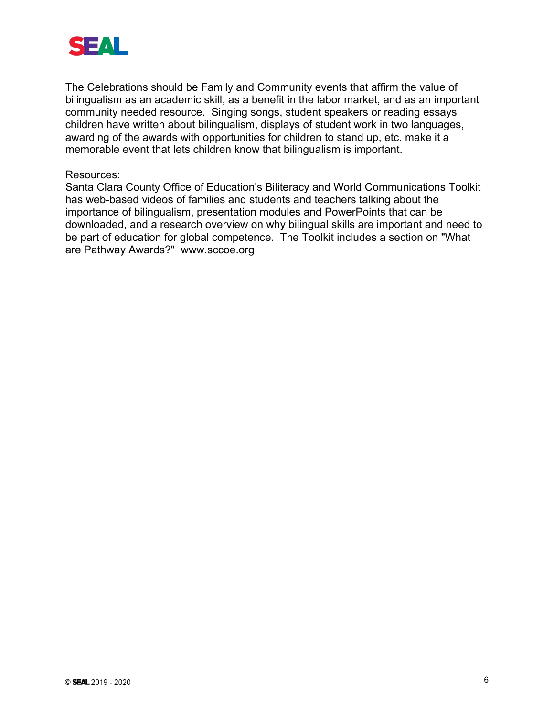

The Celebrations should be Family and Community events that affirm the value of bilingualism as an academic skill, as a benefit in the labor market, and as an important community needed resource. Singing songs, student speakers or reading essays children have written about bilingualism, displays of student work in two languages, awarding of the awards with opportunities for children to stand up, etc. make it a memorable event that lets children know that bilingualism is important.

#### Resources:

Santa Clara County Office of Education's Biliteracy and World Communications Toolkit has web-based videos of families and students and teachers talking about the importance of bilingualism, presentation modules and PowerPoints that can be downloaded, and a research overview on why bilingual skills are important and need to be part of education for global competence. The Toolkit includes a section on "What are Pathway Awards?" www.sccoe.org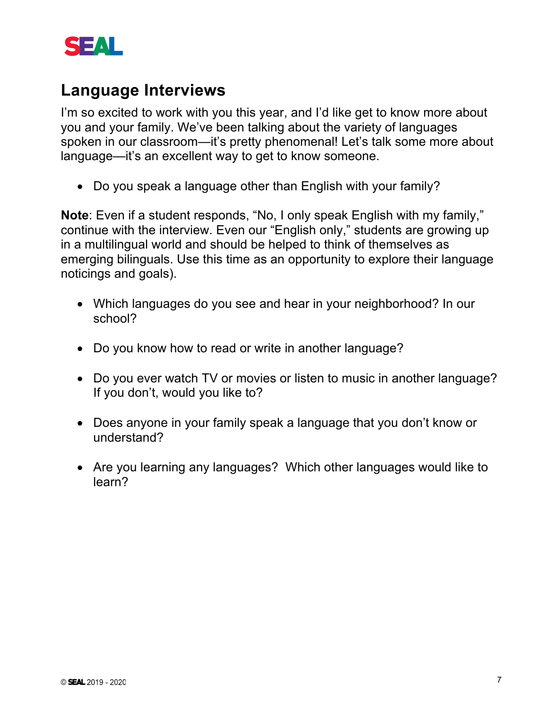

# **Language Interviews**

I'm so excited to work with you this year, and I'd like get to know more about you and your family. We've been talking about the variety of languages spoken in our classroom—it's pretty phenomenal! Let's talk some more about language—it's an excellent way to get to know someone.

• Do you speak a language other than English with your family?

**Note**: Even if a student responds, "No, I only speak English with my family," continue with the interview. Even our "English only," students are growing up in a multilingual world and should be helped to think of themselves as emerging bilinguals. Use this time as an opportunity to explore their language noticings and goals).

- Which languages do you see and hear in your neighborhood? In our school?
- Do you know how to read or write in another language?
- Do you ever watch TV or movies or listen to music in another language? If you don't, would you like to?
- Does anyone in your family speak a language that you don't know or understand?
- Are you learning any languages? Which other languages would like to learn?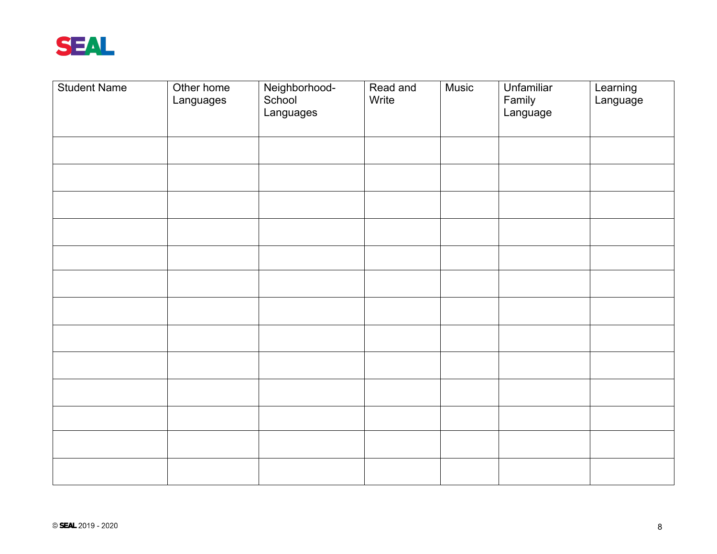

| <b>Student Name</b> | Other home<br>Languages | Neighborhood-<br>School<br>Languages | Read and<br>Write | <b>Music</b> | Unfamiliar<br>Family<br>Language | Learning<br>Language |
|---------------------|-------------------------|--------------------------------------|-------------------|--------------|----------------------------------|----------------------|
|                     |                         |                                      |                   |              |                                  |                      |
|                     |                         |                                      |                   |              |                                  |                      |
|                     |                         |                                      |                   |              |                                  |                      |
|                     |                         |                                      |                   |              |                                  |                      |
|                     |                         |                                      |                   |              |                                  |                      |
|                     |                         |                                      |                   |              |                                  |                      |
|                     |                         |                                      |                   |              |                                  |                      |
|                     |                         |                                      |                   |              |                                  |                      |
|                     |                         |                                      |                   |              |                                  |                      |
|                     |                         |                                      |                   |              |                                  |                      |
|                     |                         |                                      |                   |              |                                  |                      |
|                     |                         |                                      |                   |              |                                  |                      |
|                     |                         |                                      |                   |              |                                  |                      |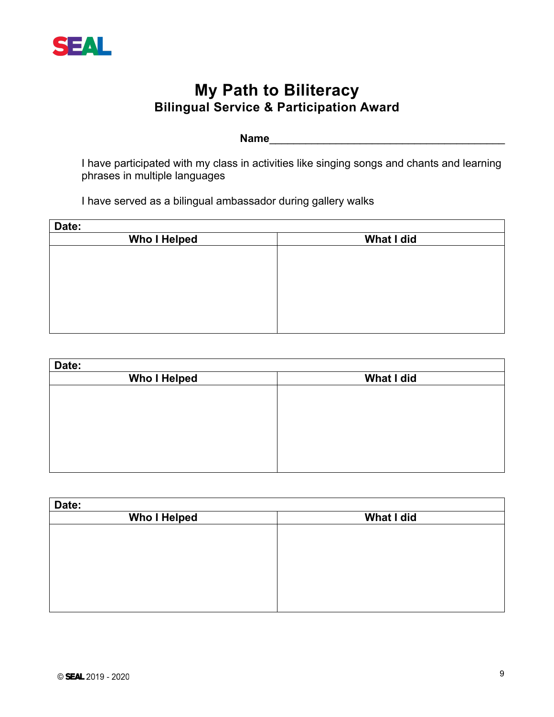

## **My Path to Biliteracy Bilingual Service & Participation Award**

**Name** 

 I have participated with my class in activities like singing songs and chants and learning phrases in multiple languages

I have served as a bilingual ambassador during gallery walks

| Date:               |            |
|---------------------|------------|
| <b>Who I Helped</b> | What I did |
|                     |            |
|                     |            |
|                     |            |
|                     |            |
|                     |            |
|                     |            |
|                     |            |

| Date:               |            |
|---------------------|------------|
| <b>Who I Helped</b> | What I did |
|                     |            |
|                     |            |
|                     |            |
|                     |            |
|                     |            |
|                     |            |
|                     |            |

| Date:               |            |
|---------------------|------------|
| <b>Who I Helped</b> | What I did |
|                     |            |
|                     |            |
|                     |            |
|                     |            |
|                     |            |
|                     |            |
|                     |            |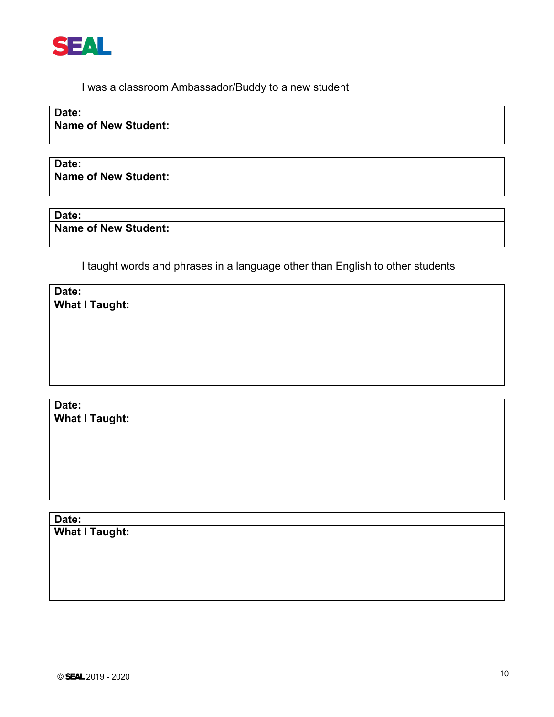

I was a classroom Ambassador/Buddy to a new student

**Date:**

**Name of New Student:**

**Date: Name of New Student:**

**Date:**

**Name of New Student:**

I taught words and phrases in a language other than English to other students

**Date: What I Taught:**

**Date: What I Taught:**

**Date: What I Taught:**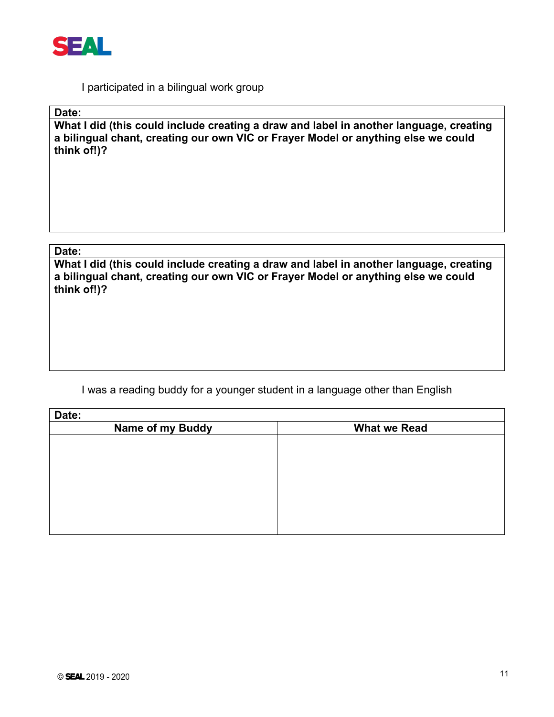

I participated in a bilingual work group

**Date:**

**What I did (this could include creating a draw and label in another language, creating a bilingual chant, creating our own VIC or Frayer Model or anything else we could think of!)?**

#### **Date:**

**What I did (this could include creating a draw and label in another language, creating a bilingual chant, creating our own VIC or Frayer Model or anything else we could think of!)?**

I was a reading buddy for a younger student in a language other than English

| Date:                   |                     |
|-------------------------|---------------------|
| <b>Name of my Buddy</b> | <b>What we Read</b> |
|                         |                     |
|                         |                     |
|                         |                     |
|                         |                     |
|                         |                     |
|                         |                     |
|                         |                     |
|                         |                     |